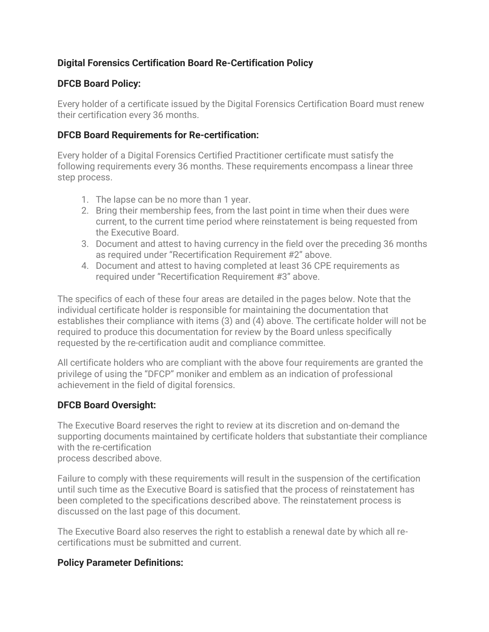# **Digital Forensics Certification Board Re-Certification Policy**

## **DFCB Board Policy:**

Every holder of a certificate issued by the Digital Forensics Certification Board must renew their certification every 36 months.

## **DFCB Board Requirements for Re-certification:**

Every holder of a Digital Forensics Certified Practitioner certificate must satisfy the following requirements every 36 months. These requirements encompass a linear three step process.

- 1. The lapse can be no more than 1 year.
- 2. Bring their membership fees, from the last point in time when their dues were current, to the current time period where reinstatement is being requested from the Executive Board.
- 3. Document and attest to having currency in the field over the preceding 36 months as required under "Recertification Requirement #2" above.
- 4. Document and attest to having completed at least 36 CPE requirements as required under "Recertification Requirement #3" above.

The specifics of each of these four areas are detailed in the pages below. Note that the individual certificate holder is responsible for maintaining the documentation that establishes their compliance with items (3) and (4) above. The certificate holder will not be required to produce this documentation for review by the Board unless specifically requested by the re-certification audit and compliance committee.

All certificate holders who are compliant with the above four requirements are granted the privilege of using the "DFCP" moniker and emblem as an indication of professional achievement in the field of digital forensics.

## **DFCB Board Oversight:**

The Executive Board reserves the right to review at its discretion and on-demand the supporting documents maintained by certificate holders that substantiate their compliance with the re-certification process described above.

Failure to comply with these requirements will result in the suspension of the certification until such time as the Executive Board is satisfied that the process of reinstatement has been completed to the specifications described above. The reinstatement process is discussed on the last page of this document.

The Executive Board also reserves the right to establish a renewal date by which all recertifications must be submitted and current.

## **Policy Parameter Definitions:**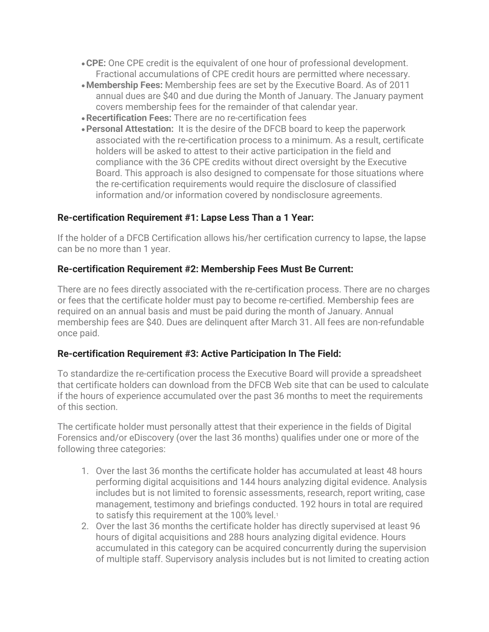- •**CPE:** One CPE credit is the equivalent of one hour of professional development. Fractional accumulations of CPE credit hours are permitted where necessary.
- •**Membership Fees:** Membership fees are set by the Executive Board. As of 2011 annual dues are \$40 and due during the Month of January. The January payment covers membership fees for the remainder of that calendar year.
- •**Recertification Fees:** There are no re-certification fees
- •**Personal Attestation:** It is the desire of the DFCB board to keep the paperwork associated with the re-certification process to a minimum. As a result, certificate holders will be asked to attest to their active participation in the field and compliance with the 36 CPE credits without direct oversight by the Executive Board. This approach is also designed to compensate for those situations where the re-certification requirements would require the disclosure of classified information and/or information covered by nondisclosure agreements.

### **Re-certification Requirement #1: Lapse Less Than a 1 Year:**

If the holder of a DFCB Certification allows his/her certification currency to lapse, the lapse can be no more than 1 year.

#### **Re-certification Requirement #2: Membership Fees Must Be Current:**

There are no fees directly associated with the re-certification process. There are no charges or fees that the certificate holder must pay to become re-certified. Membership fees are required on an annual basis and must be paid during the month of January. Annual membership fees are \$40. Dues are delinquent after March 31. All fees are non-refundable once paid.

#### **Re-certification Requirement #3: Active Participation In The Field:**

To standardize the re-certification process the Executive Board will provide a spreadsheet that certificate holders can download from the DFCB Web site that can be used to calculate if the hours of experience accumulated over the past 36 months to meet the requirements of this section.

The certificate holder must personally attest that their experience in the fields of Digital Forensics and/or eDiscovery (over the last 36 months) qualifies under one or more of the following three categories:

- 1. Over the last 36 months the certificate holder has accumulated at least 48 hours performing digital acquisitions and 144 hours analyzing digital evidence. Analysis includes but is not limited to forensic assessments, research, report writing, case management, testimony and briefings conducted. 192 hours in total are required to satisfy this requirement at the 100% level.<sup>1</sup>
- 2. Over the last 36 months the certificate holder has directly supervised at least 96 hours of digital acquisitions and 288 hours analyzing digital evidence. Hours accumulated in this category can be acquired concurrently during the supervision of multiple staff. Supervisory analysis includes but is not limited to creating action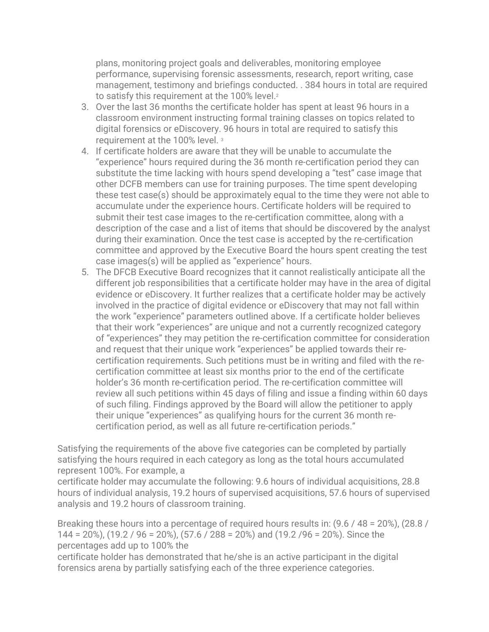plans, monitoring project goals and deliverables, monitoring employee performance, supervising forensic assessments, research, report writing, case management, testimony and briefings conducted. . 384 hours in total are required to satisfy this requirement at the 100% level.<sup>2</sup>

- 3. Over the last 36 months the certificate holder has spent at least 96 hours in a classroom environment instructing formal training classes on topics related to digital forensics or eDiscovery. 96 hours in total are required to satisfy this requirement at the 100% level. <sup>3</sup>
- 4. If certificate holders are aware that they will be unable to accumulate the "experience" hours required during the 36 month re-certification period they can substitute the time lacking with hours spend developing a "test" case image that other DCFB members can use for training purposes. The time spent developing these test case(s) should be approximately equal to the time they were not able to accumulate under the experience hours. Certificate holders will be required to submit their test case images to the re-certification committee, along with a description of the case and a list of items that should be discovered by the analyst during their examination. Once the test case is accepted by the re-certification committee and approved by the Executive Board the hours spent creating the test case images(s) will be applied as "experience" hours.
- 5. The DFCB Executive Board recognizes that it cannot realistically anticipate all the different job responsibilities that a certificate holder may have in the area of digital evidence or eDiscovery. It further realizes that a certificate holder may be actively involved in the practice of digital evidence or eDiscovery that may not fall within the work "experience" parameters outlined above. If a certificate holder believes that their work "experiences" are unique and not a currently recognized category of "experiences" they may petition the re-certification committee for consideration and request that their unique work "experiences" be applied towards their recertification requirements. Such petitions must be in writing and filed with the recertification committee at least six months prior to the end of the certificate holder's 36 month re-certification period. The re-certification committee will review all such petitions within 45 days of filing and issue a finding within 60 days of such filing. Findings approved by the Board will allow the petitioner to apply their unique "experiences" as qualifying hours for the current 36 month recertification period, as well as all future re-certification periods."

Satisfying the requirements of the above five categories can be completed by partially satisfying the hours required in each category as long as the total hours accumulated represent 100%. For example, a

certificate holder may accumulate the following: 9.6 hours of individual acquisitions, 28.8 hours of individual analysis, 19.2 hours of supervised acquisitions, 57.6 hours of supervised analysis and 19.2 hours of classroom training.

Breaking these hours into a percentage of required hours results in: (9.6 / 48 = 20%), (28.8 / 144 = 20%), (19.2 / 96 = 20%), (57.6 / 288 = 20%) and (19.2 /96 = 20%). Since the percentages add up to 100% the

certificate holder has demonstrated that he/she is an active participant in the digital forensics arena by partially satisfying each of the three experience categories.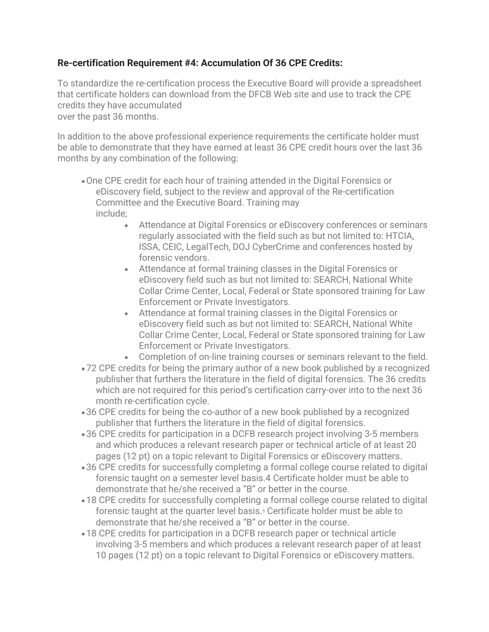# **Re-certification Requirement #4: Accumulation Of 36 CPE Credits:**

To standardize the re-certification process the Executive Board will provide a spreadsheet that certificate holders can download from the DFCB Web site and use to track the CPE credits they have accumulated over the past 36 months.

In addition to the above professional experience requirements the certificate holder must be able to demonstrate that they have earned at least 36 CPE credit hours over the last 36 months by any combination of the following:

- •One CPE credit for each hour of training attended in the Digital Forensics or eDiscovery field, subject to the review and approval of the Re-certification Committee and the Executive Board. Training may include;
	- Attendance at Digital Forensics or eDiscovery conferences or seminars regularly associated with the field such as but not limited to: HTCIA, ISSA, CEIC, LegalTech, DOJ CyberCrime and conferences hosted by forensic vendors.
	- Attendance at formal training classes in the Digital Forensics or eDiscovery field such as but not limited to: SEARCH, National White Collar Crime Center, Local, Federal or State sponsored training for Law Enforcement or Private Investigators.
	- Attendance at formal training classes in the Digital Forensics or eDiscovery field such as but not limited to: SEARCH, National White Collar Crime Center, Local, Federal or State sponsored training for Law Enforcement or Private Investigators.
	- Completion of on-line training courses or seminars relevant to the field.
- •72 CPE credits for being the primary author of a new book published by a recognized publisher that furthers the literature in the field of digital forensics. The 36 credits which are not required for this period's certification carry-over into to the next 36 month re-certification cycle.
- •36 CPE credits for being the co-author of a new book published by a recognized publisher that furthers the literature in the field of digital forensics.
- •36 CPE credits for participation in a DCFB research project involving 3-5 members and which produces a relevant research paper or technical article of at least 20 pages (12 pt) on a topic relevant to Digital Forensics or eDiscovery matters.
- •36 CPE credits for successfully completing a formal college course related to digital forensic taught on a semester level basis.4 Certificate holder must be able to demonstrate that he/she received a "B" or better in the course.
- •18 CPE credits for successfully completing a formal college course related to digital forensic taught at the quarter level basis.<sup>5</sup> Certificate holder must be able to demonstrate that he/she received a "B" or better in the course.
- •18 CPE credits for participation in a DCFB research paper or technical article involving 3-5 members and which produces a relevant research paper of at least 10 pages (12 pt) on a topic relevant to Digital Forensics or eDiscovery matters.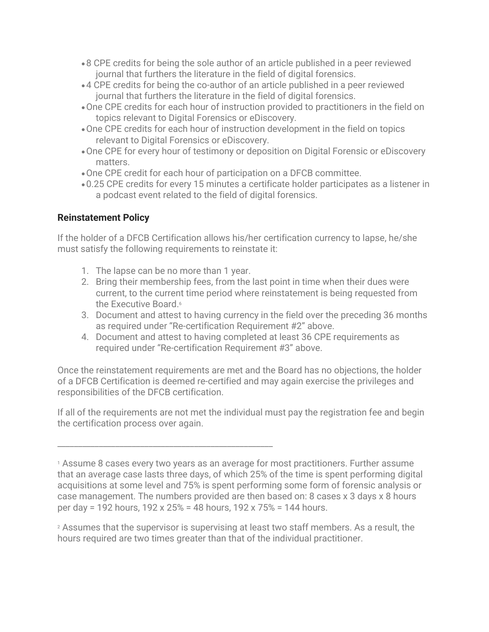- •8 CPE credits for being the sole author of an article published in a peer reviewed journal that furthers the literature in the field of digital forensics.
- •4 CPE credits for being the co-author of an article published in a peer reviewed journal that furthers the literature in the field of digital forensics.
- •One CPE credits for each hour of instruction provided to practitioners in the field on topics relevant to Digital Forensics or eDiscovery.
- •One CPE credits for each hour of instruction development in the field on topics relevant to Digital Forensics or eDiscovery.
- •One CPE for every hour of testimony or deposition on Digital Forensic or eDiscovery matters.
- •One CPE credit for each hour of participation on a DFCB committee.
- •0.25 CPE credits for every 15 minutes a certificate holder participates as a listener in a podcast event related to the field of digital forensics.

## **Reinstatement Policy**

If the holder of a DFCB Certification allows his/her certification currency to lapse, he/she must satisfy the following requirements to reinstate it:

- 1. The lapse can be no more than 1 year.
- 2. Bring their membership fees, from the last point in time when their dues were current, to the current time period where reinstatement is being requested from the Executive Board<sup>6</sup>
- 3. Document and attest to having currency in the field over the preceding 36 months as required under "Re-certification Requirement #2" above.
- 4. Document and attest to having completed at least 36 CPE requirements as required under "Re-certification Requirement #3" above.

Once the reinstatement requirements are met and the Board has no objections, the holder of a DFCB Certification is deemed re-certified and may again exercise the privileges and responsibilities of the DFCB certification.

If all of the requirements are not met the individual must pay the registration fee and begin the certification process over again.

\_\_\_\_\_\_\_\_\_\_\_\_\_\_\_\_\_\_\_\_\_\_\_\_\_\_\_\_\_\_\_\_\_\_\_\_\_\_\_\_\_\_\_\_\_\_\_\_\_\_\_\_

<sup>1</sup> Assume 8 cases every two years as an average for most practitioners. Further assume that an average case lasts three days, of which 25% of the time is spent performing digital acquisitions at some level and 75% is spent performing some form of forensic analysis or case management. The numbers provided are then based on: 8 cases x 3 days x 8 hours per day = 192 hours, 192 x 25% = 48 hours, 192 x 75% = 144 hours.

<sup>2</sup> Assumes that the supervisor is supervising at least two staff members. As a result, the hours required are two times greater than that of the individual practitioner.